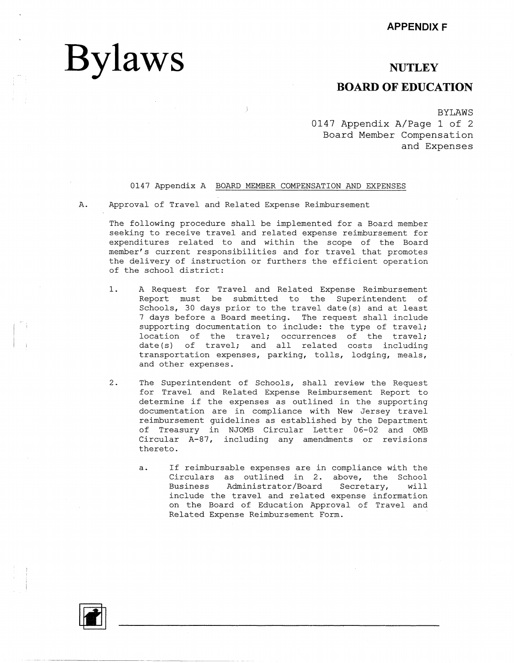# **Bylaws**

### **NUTLEY**

# **BOARD OF EDUCATION**

BYLAWS 0147 Appendix A/Page 1 of 2 Board Member Compensation and Expenses

### 0147 Appendix A BOARD MEMBER COMPENSATION AND EXPENSES

A. Approval of Travel and Related Expense Reimbursement

The following procedure shall be implemented for a Board member seeking to receive travel and related expense reimbursement for expenditures related to and within the scope of the Board member's current responsibilities and for travel that promotes the delivery of instruction or furthers the efficient operation of the school district:

- 1. A Request for Travel and Related Expense Reimbursement Report must be submitted to the Superintendent of Schools, 30 days prior to the travel date(s) and at least 7 days before a Board meeting. The request shall include supporting documentation to include: the type of travel; location of the travel; occurrences of the travel; date(s) of travel; and all related costs including transportation expenses, parking, tolls, lodging, meals, and other expenses.
- 2. The Superintendent of Schools, shall review the Request for Travel and Related Expense Reimbursement Report to determine if the expenses as outlined in the supporting documentation are in compliance with New Jersey travel reimbursement guidelines as established by the Department of Treasury in NJOMB Circular Letter 06-02 and 0MB Circular A-87, including any amendments or revisions thereto.
	- a. If reimbursable expenses are in compliance with the Circulars as outlined in 2. above, the School Business Administrator/Board Secretary, will include the travel and related expense information on the Board of Education Approval of Travel and Related Expense Reimbursement Form.